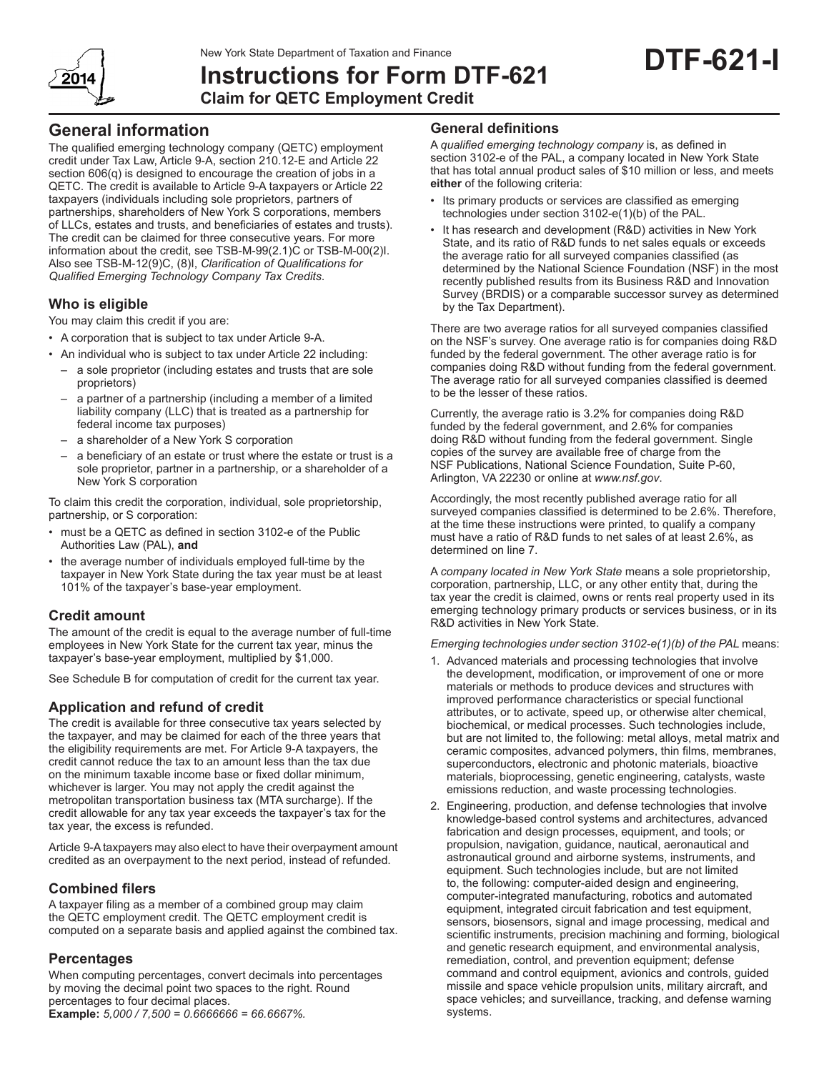New York State Department of Taxation and Finance



**Instructions for Form DTF-621 Claim for QETC Employment Credit**

## **General information**

The qualified emerging technology company (QETC) employment credit under Tax Law, Article 9-A, section 210.12-E and Article 22 section 606(q) is designed to encourage the creation of jobs in a QETC. The credit is available to Article 9‑A taxpayers or Article 22 taxpayers (individuals including sole proprietors, partners of partnerships, shareholders of New York S corporations, members of LLCs, estates and trusts, and beneficiaries of estates and trusts). The credit can be claimed for three consecutive years. For more information about the credit, see TSB‑M‑99(2.1)C or TSB‑M‑00(2)I. Also see TSB-M-12(9)C, (8)I, *Clarification of Qualifications for Qualified Emerging Technology Company Tax Credits*.

## **Who is eligible**

You may claim this credit if you are:

- A corporation that is subject to tax under Article 9‑A.
- An individual who is subject to tax under Article 22 including:
	- a sole proprietor (including estates and trusts that are sole proprietors)
	- a partner of a partnership (including a member of a limited liability company (LLC) that is treated as a partnership for federal income tax purposes)
	- a shareholder of a New York S corporation
	- a beneficiary of an estate or trust where the estate or trust is a sole proprietor, partner in a partnership, or a shareholder of a New York S corporation

To claim this credit the corporation, individual, sole proprietorship, partnership, or S corporation:

- must be a QETC as defined in section 3102-e of the Public Authorities Law (PAL), **and**
- the average number of individuals employed full-time by the taxpayer in New York State during the tax year must be at least 101% of the taxpayer's base‑year employment.

## **Credit amount**

The amount of the credit is equal to the average number of full-time employees in New York State for the current tax year, minus the taxpayer's base‑year employment, multiplied by \$1,000.

See Schedule B for computation of credit for the current tax year.

## **Application and refund of credit**

The credit is available for three consecutive tax years selected by the taxpayer, and may be claimed for each of the three years that the eligibility requirements are met. For Article 9‑A taxpayers, the credit cannot reduce the tax to an amount less than the tax due on the minimum taxable income base or fixed dollar minimum, whichever is larger. You may not apply the credit against the metropolitan transportation business tax (MTA surcharge). If the credit allowable for any tax year exceeds the taxpayer's tax for the tax year, the excess is refunded.

Article 9‑A taxpayers may also elect to have their overpayment amount credited as an overpayment to the next period, instead of refunded.

## **Combined filers**

A taxpayer filing as a member of a combined group may claim the QETC employment credit. The QETC employment credit is computed on a separate basis and applied against the combined tax.

## **Percentages**

When computing percentages, convert decimals into percentages by moving the decimal point two spaces to the right. Round percentages to four decimal places. **Example:** *5,000 / 7,500 = 0.6666666 = 66.6667%.*

### **General definitions**

A *qualified emerging technology company* is, as defined in section 3102-e of the PAL, a company located in New York State that has total annual product sales of \$10 million or less, and meets **either** of the following criteria:

- Its primary products or services are classified as emerging technologies under section 3102‑e(1)(b) of the PAL.
- It has research and development (R&D) activities in New York State, and its ratio of R&D funds to net sales equals or exceeds the average ratio for all surveyed companies classified (as determined by the National Science Foundation (NSF) in the most recently published results from its Business R&D and Innovation Survey (BRDIS) or a comparable successor survey as determined by the Tax Department).

There are two average ratios for all surveyed companies classified on the NSF's survey. One average ratio is for companies doing R&D funded by the federal government. The other average ratio is for companies doing R&D without funding from the federal government. The average ratio for all surveyed companies classified is deemed to be the lesser of these ratios.

Currently, the average ratio is 3.2% for companies doing R&D funded by the federal government, and 2.6% for companies doing R&D without funding from the federal government. Single copies of the survey are available free of charge from the NSF Publications, National Science Foundation, Suite P-60, Arlington, VA 22230 or online at *www.nsf.gov*.

Accordingly, the most recently published average ratio for all surveyed companies classified is determined to be 2.6%. Therefore, at the time these instructions were printed, to qualify a company must have a ratio of R&D funds to net sales of at least 2.6%, as determined on line 7.

A *company located in New York State* means a sole proprietorship, corporation, partnership, LLC, or any other entity that, during the tax year the credit is claimed, owns or rents real property used in its emerging technology primary products or services business, or in its R&D activities in New York State.

#### *Emerging technologies under section 3102‑e(1)(b) of the PAL* means:

- 1. Advanced materials and processing technologies that involve the development, modification, or improvement of one or more materials or methods to produce devices and structures with improved performance characteristics or special functional attributes, or to activate, speed up, or otherwise alter chemical, biochemical, or medical processes. Such technologies include, but are not limited to, the following: metal alloys, metal matrix and ceramic composites, advanced polymers, thin films, membranes, superconductors, electronic and photonic materials, bioactive materials, bioprocessing, genetic engineering, catalysts, waste emissions reduction, and waste processing technologies.
- 2. Engineering, production, and defense technologies that involve knowledge‑based control systems and architectures, advanced fabrication and design processes, equipment, and tools; or propulsion, navigation, guidance, nautical, aeronautical and astronautical ground and airborne systems, instruments, and equipment. Such technologies include, but are not limited to, the following: computer-aided design and engineering, computer‑integrated manufacturing, robotics and automated equipment, integrated circuit fabrication and test equipment, sensors, biosensors, signal and image processing, medical and scientific instruments, precision machining and forming, biological and genetic research equipment, and environmental analysis, remediation, control, and prevention equipment; defense command and control equipment, avionics and controls, guided missile and space vehicle propulsion units, military aircraft, and space vehicles; and surveillance, tracking, and defense warning systems.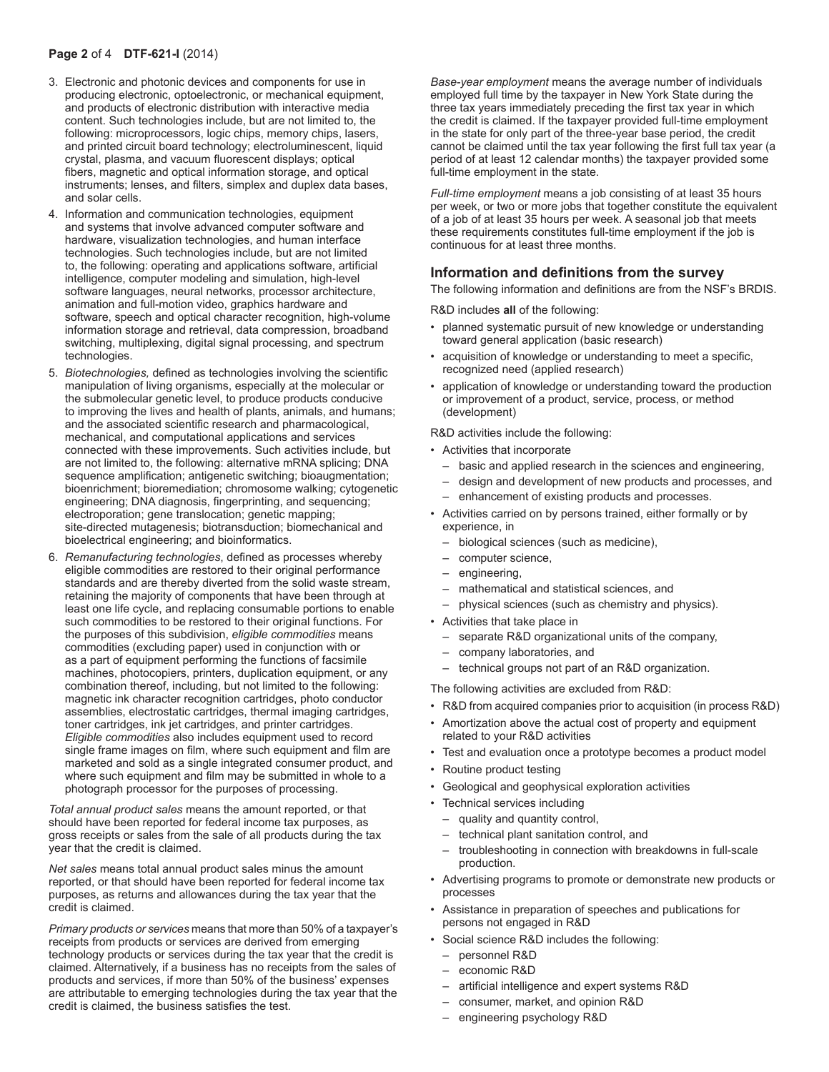#### **Page 2** of 4 **DTF-621-I** (2014)

- 3. Electronic and photonic devices and components for use in producing electronic, optoelectronic, or mechanical equipment, and products of electronic distribution with interactive media content. Such technologies include, but are not limited to, the following: microprocessors, logic chips, memory chips, lasers, and printed circuit board technology; electroluminescent, liquid crystal, plasma, and vacuum fluorescent displays; optical fibers, magnetic and optical information storage, and optical instruments; lenses, and filters, simplex and duplex data bases, and solar cells.
- 4. Information and communication technologies, equipment and systems that involve advanced computer software and hardware, visualization technologies, and human interface technologies. Such technologies include, but are not limited to, the following: operating and applications software, artificial intelligence, computer modeling and simulation, high-level software languages, neural networks, processor architecture, animation and full-motion video, graphics hardware and software, speech and optical character recognition, high-volume information storage and retrieval, data compression, broadband switching, multiplexing, digital signal processing, and spectrum technologies.
- 5. *Biotechnologies,* defined as technologies involving the scientific manipulation of living organisms, especially at the molecular or the submolecular genetic level, to produce products conducive to improving the lives and health of plants, animals, and humans; and the associated scientific research and pharmacological, mechanical, and computational applications and services connected with these improvements. Such activities include, but are not limited to, the following: alternative mRNA splicing; DNA sequence amplification; antigenetic switching; bioaugmentation; bioenrichment; bioremediation; chromosome walking; cytogenetic engineering; DNA diagnosis, fingerprinting, and sequencing; electroporation; gene translocation; genetic mapping; site-directed mutagenesis; biotransduction; biomechanical and bioelectrical engineering; and bioinformatics.
- 6. *Remanufacturing technologies*, defined as processes whereby eligible commodities are restored to their original performance standards and are thereby diverted from the solid waste stream, retaining the majority of components that have been through at least one life cycle, and replacing consumable portions to enable such commodities to be restored to their original functions. For the purposes of this subdivision, *eligible commodities* means commodities (excluding paper) used in conjunction with or as a part of equipment performing the functions of facsimile machines, photocopiers, printers, duplication equipment, or any combination thereof, including, but not limited to the following: magnetic ink character recognition cartridges, photo conductor assemblies, electrostatic cartridges, thermal imaging cartridges, toner cartridges, ink jet cartridges, and printer cartridges. *Eligible commodities* also includes equipment used to record single frame images on film, where such equipment and film are marketed and sold as a single integrated consumer product, and where such equipment and film may be submitted in whole to a photograph processor for the purposes of processing.

*Total annual product sales* means the amount reported, or that should have been reported for federal income tax purposes, as gross receipts or sales from the sale of all products during the tax year that the credit is claimed.

*Net sales* means total annual product sales minus the amount reported, or that should have been reported for federal income tax purposes, as returns and allowances during the tax year that the credit is claimed.

*Primary products or services* means that more than 50% of a taxpayer's receipts from products or services are derived from emerging technology products or services during the tax year that the credit is claimed. Alternatively, if a business has no receipts from the sales of products and services, if more than 50% of the business' expenses are attributable to emerging technologies during the tax year that the credit is claimed, the business satisfies the test.

*Base‑year employment* means the average number of individuals employed full time by the taxpayer in New York State during the three tax years immediately preceding the first tax year in which the credit is claimed. If the taxpayer provided full-time employment in the state for only part of the three‑year base period, the credit cannot be claimed until the tax year following the first full tax year (a period of at least 12 calendar months) the taxpayer provided some full-time employment in the state.

*Full-time employment* means a job consisting of at least 35 hours per week, or two or more jobs that together constitute the equivalent of a job of at least 35 hours per week. A seasonal job that meets these requirements constitutes full-time employment if the job is continuous for at least three months.

### **Information and definitions from the survey**

The following information and definitions are from the NSF's BRDIS.

R&D includes **all** of the following:

- planned systematic pursuit of new knowledge or understanding toward general application (basic research)
- acquisition of knowledge or understanding to meet a specific, recognized need (applied research)
- application of knowledge or understanding toward the production or improvement of a product, service, process, or method (development)

R&D activities include the following:

- Activities that incorporate
	- basic and applied research in the sciences and engineering,
	- design and development of new products and processes, and
	- enhancement of existing products and processes.
- Activities carried on by persons trained, either formally or by experience, in
	- biological sciences (such as medicine),
	- computer science,
	- engineering,
	- mathematical and statistical sciences, and
	- physical sciences (such as chemistry and physics).
- Activities that take place in
	- separate R&D organizational units of the company,
	- company laboratories, and
	- technical groups not part of an R&D organization.

The following activities are excluded from R&D:

- R&D from acquired companies prior to acquisition (in process R&D)
- Amortization above the actual cost of property and equipment related to your R&D activities
- Test and evaluation once a prototype becomes a product model
- Routine product testing
- Geological and geophysical exploration activities
- Technical services including
	- quality and quantity control,
	- technical plant sanitation control, and
	- troubleshooting in connection with breakdowns in full-scale production.
- Advertising programs to promote or demonstrate new products or processes
- Assistance in preparation of speeches and publications for persons not engaged in R&D
- Social science R&D includes the following:
	- personnel R&D
	- economic R&D
	- artificial intelligence and expert systems R&D
	- consumer, market, and opinion R&D
	- engineering psychology R&D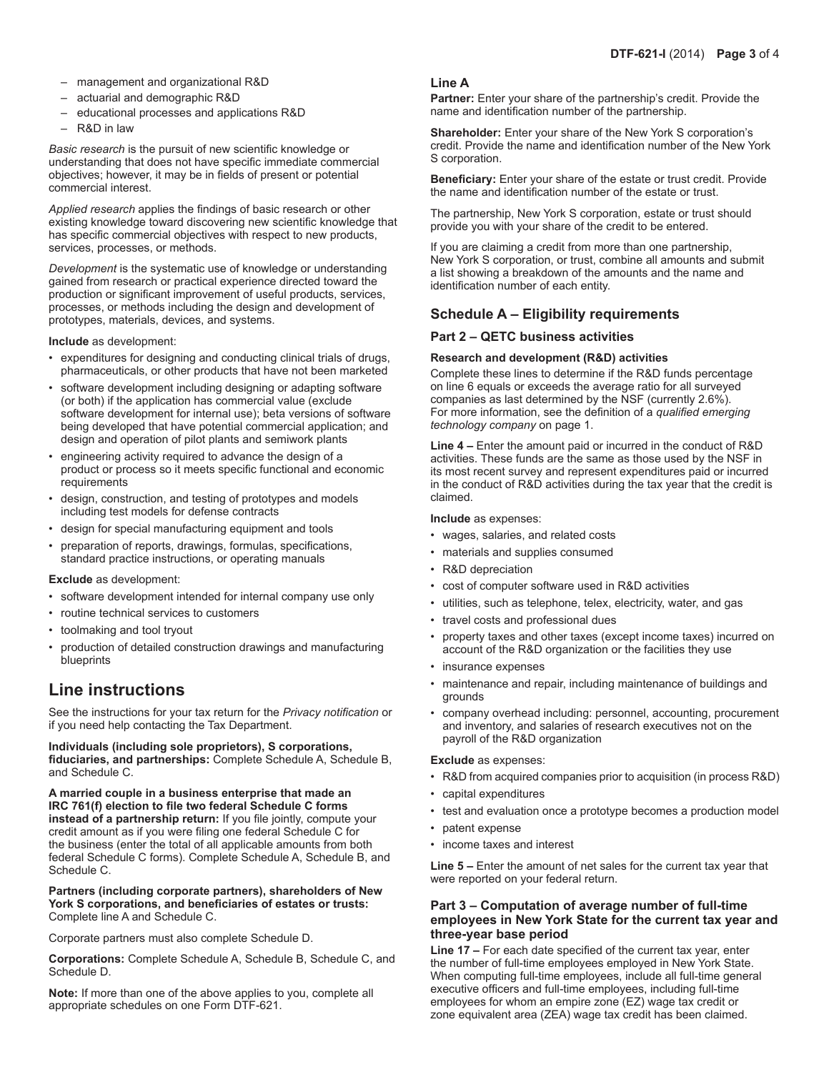- management and organizational R&D
- actuarial and demographic R&D
- educational processes and applications R&D
- R&D in law

*Basic research* is the pursuit of new scientific knowledge or understanding that does not have specific immediate commercial objectives; however, it may be in fields of present or potential commercial interest.

*Applied research* applies the findings of basic research or other existing knowledge toward discovering new scientific knowledge that has specific commercial objectives with respect to new products, services, processes, or methods.

*Development* is the systematic use of knowledge or understanding gained from research or practical experience directed toward the production or significant improvement of useful products, services, processes, or methods including the design and development of prototypes, materials, devices, and systems.

**Include** as development:

- expenditures for designing and conducting clinical trials of drugs, pharmaceuticals, or other products that have not been marketed
- software development including designing or adapting software (or both) if the application has commercial value (exclude software development for internal use); beta versions of software being developed that have potential commercial application; and design and operation of pilot plants and semiwork plants
- engineering activity required to advance the design of a product or process so it meets specific functional and economic requirements
- design, construction, and testing of prototypes and models including test models for defense contracts
- design for special manufacturing equipment and tools
- preparation of reports, drawings, formulas, specifications, standard practice instructions, or operating manuals

#### **Exclude** as development:

- software development intended for internal company use only
- routine technical services to customers
- toolmaking and tool tryout
- production of detailed construction drawings and manufacturing blueprints

# **Line instructions**

See the instructions for your tax return for the *Privacy notification* or if you need help contacting the Tax Department.

**Individuals (including sole proprietors), S corporations, fiduciaries, and partnerships:** Complete Schedule A, Schedule B, and Schedule C.

**A married couple in a business enterprise that made an IRC 761(f) election to file two federal Schedule C forms instead of a partnership return:** If you file jointly, compute your credit amount as if you were filing one federal Schedule C for the business (enter the total of all applicable amounts from both federal Schedule C forms). Complete Schedule A, Schedule B, and Schedule C.

**Partners (including corporate partners), shareholders of New York S corporations, and beneficiaries of estates or trusts:**  Complete line A and Schedule C.

Corporate partners must also complete Schedule D.

**Corporations:** Complete Schedule A, Schedule B, Schedule C, and Schedule D.

**Note:** If more than one of the above applies to you, complete all appropriate schedules on one Form DTF-621.

### **Line A**

**Partner:** Enter your share of the partnership's credit. Provide the name and identification number of the partnership.

**Shareholder:** Enter your share of the New York S corporation's credit. Provide the name and identification number of the New York S corporation.

**Beneficiary:** Enter your share of the estate or trust credit. Provide the name and identification number of the estate or trust.

The partnership, New York S corporation, estate or trust should provide you with your share of the credit to be entered.

If you are claiming a credit from more than one partnership, New York S corporation, or trust, combine all amounts and submit a list showing a breakdown of the amounts and the name and identification number of each entity.

### **Schedule A – Eligibility requirements**

#### **Part 2 – QETC business activities**

#### **Research and development (R&D) activities**

Complete these lines to determine if the R&D funds percentage on line 6 equals or exceeds the average ratio for all surveyed companies as last determined by the NSF (currently 2.6%). For more information, see the definition of a *qualified emerging technology company* on page 1.

**Line 4 –** Enter the amount paid or incurred in the conduct of R&D activities. These funds are the same as those used by the NSF in its most recent survey and represent expenditures paid or incurred in the conduct of R&D activities during the tax year that the credit is claimed.

**Include** as expenses:

- wages, salaries, and related costs
- materials and supplies consumed
- R&D depreciation
- cost of computer software used in R&D activities
- utilities, such as telephone, telex, electricity, water, and gas
- travel costs and professional dues
- property taxes and other taxes (except income taxes) incurred on account of the R&D organization or the facilities they use
- insurance expenses
- maintenance and repair, including maintenance of buildings and grounds
- company overhead including: personnel, accounting, procurement and inventory, and salaries of research executives not on the payroll of the R&D organization

**Exclude** as expenses:

- R&D from acquired companies prior to acquisition (in process R&D)
- capital expenditures
- test and evaluation once a prototype becomes a production model
- patent expense
- income taxes and interest

**Line 5 –** Enter the amount of net sales for the current tax year that were reported on your federal return.

### **Part 3 – Computation of average number of full-time employees in New York State for the current tax year and three-year base period**

**Line 17 –** For each date specified of the current tax year, enter the number of full-time employees employed in New York State. When computing full-time employees, include all full-time general executive officers and full-time employees, including full-time employees for whom an empire zone (EZ) wage tax credit or zone equivalent area (ZEA) wage tax credit has been claimed.